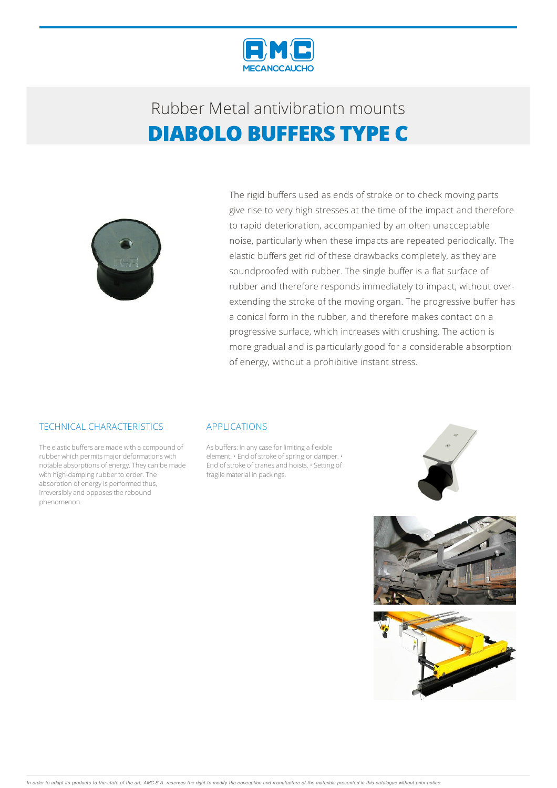

# Rubber Metalantivibration mounts **DIABOLO BUFFERS TYPE C**



The rigid buffers used as ends of stroke or to check moving parts give rise to very high stresses at the time of the impact and therefore to rapid deterioration, accompanied by an often unacceptable noise, particularly when these impacts are repeated periodically. The elastic buffers get rid of these drawbacks completely, as they are soundproofed with rubber. The single buffer is a flat surface of rubber and therefore responds immediately to impact, without overextending the stroke of the moving organ. The progressive buffer has a conical form in the rubber, and therefore makes contact on a progressive surface, which increases with crushing. The action is more gradual and is particularly good for a considerable absorption of energy, without a prohibitive instant stress.

### TECHNICAL CHARACTERISTICS

The elastic buffers are made with a compound of rubber which permits major deformations with notable absorptions of energy.Theycan bemade with high-damping rubber to order. The absorption of energy is performed thus, irreversibly and opposes the rebound phenomenon.

### APPLICATIONS

As buffers: In any case for limiting a flexible element. • End of stroke of spring or damper. • End of stroke of cranes and hoists.  $\cdot$  Setting of fragile material in packings.





In order to adapt its products to the state of the art, AMC S.A. reserves the right to modify the conception and manufacture of the materials presented in this catalogue without prior notice.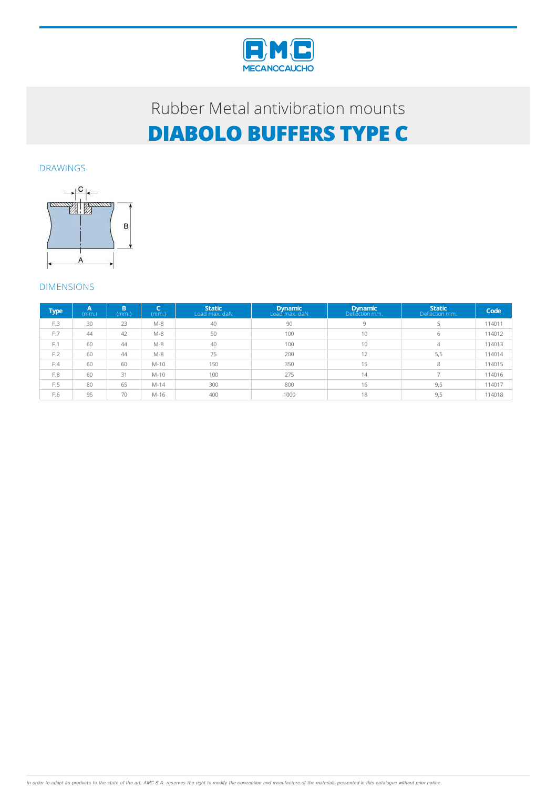

## Rubber Metal antivibration mounts **DIABOLO BUFFERS TYPE C**

DRAWINGS



## DIMENSIONS

| Type | A<br>(mm.) | B<br>(mm.) | (mm.)  | <b>Static</b><br>Load max. daN | <b>Dynamic</b><br>Load max. daN | 'Dynamic<br>Deflection mm. | <b>Static</b><br>Deflection mm. | Code   |
|------|------------|------------|--------|--------------------------------|---------------------------------|----------------------------|---------------------------------|--------|
| F.3  | 30         | 23         | $M-8$  | 40                             | 90                              | q                          |                                 | 114011 |
| F.7  | 44         | 42         | $M-8$  | 50                             | 100                             | 10                         | 6                               | 114012 |
| F.1  | 60         | 44         | $M-8$  | 40                             | 100                             | 10                         | 4                               | 114013 |
| F.2  | 60         | 44         | $M-8$  | 75                             | 200                             | 12                         | 5,5                             | 114014 |
| F.4  | 60         | 60         | $M-10$ | 150                            | 350                             | 15                         | 8                               | 114015 |
| F.8  | 60         | 31         | $M-10$ | 100                            | 275                             | 14                         | $\rightarrow$                   | 114016 |
| F.5  | 80         | 65         | $M-14$ | 300                            | 800                             | 16                         | 9,5                             | 114017 |
| F.6  | 95         | 70         | M-16   | 400                            | 1000                            | 18                         | 9,5                             | 114018 |